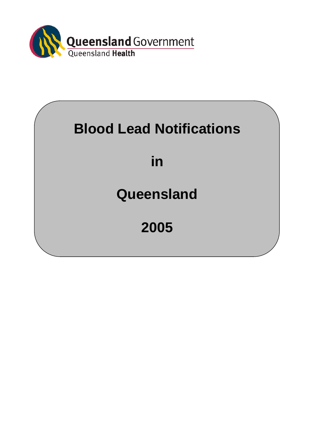

# **Blood Lead Notifications**

**in** 

## **Queensland**

**2005**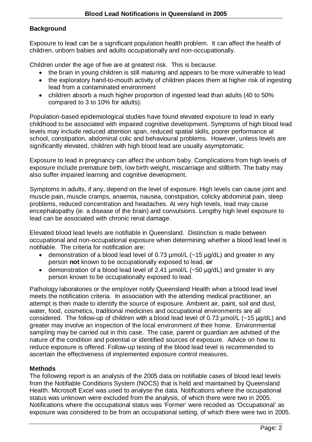#### **Background**

Exposure to lead can be a significant population health problem. It can affect the health of children, unborn babies and adults occupationally and non-occupationally.

Children under the age of five are at greatest risk. This is because:

- the brain in young children is still maturing and appears to be more vulnerable to lead
- the exploratory hand-to-mouth activity of children places them at higher risk of ingesting lead from a contaminated environment
- children absorb a much higher proportion of ingested lead than adults (40 to 50% compared to 3 to 10% for adults).

Population-based epidemiological studies have found elevated exposure to lead in early childhood to be associated with impaired cognitive development. Symptoms of high blood lead levels may include reduced attention span, reduced spatial skills, poorer performance at school, constipation, abdominal colic and behavioural problems. However, unless levels are significantly elevated, children with high blood lead are usually asymptomatic.

Exposure to lead in pregnancy can affect the unborn baby. Complications from high levels of exposure include premature birth, low birth weight, miscarriage and stillbirth. The baby may also suffer impaired learning and cognitive development.

Symptoms in adults, if any, depend on the level of exposure. High levels can cause joint and muscle pain, muscle cramps, anaemia, nausea, constipation, colicky abdominal pain, sleep problems, reduced concentration and headaches. At very high levels, lead may cause encephalopathy (ie. a disease of the brain) and convulsions. Lengthy high level exposure to lead can be associated with chronic renal damage.

Elevated blood lead levels are notifiable in Queensland. Distinction is made between occupational and non-occupational exposure when determining whether a blood lead level is notifiable. The criteria for notification are:

- demonstration of a blood lead level of 0.73  $\mu$ mol/L (~15  $\mu$ g/dL) and greater in any person **not** known to be occupationally exposed to lead, **or**
- demonstration of a blood lead level of 2.41 µmol/L (~50 µg/dL) and greater in any person known to be occupationally exposed to lead.

Pathology laboratories or the employer notify Queensland Health when a blood lead level meets the notification criteria. In association with the attending medical practitioner, an attempt is then made to identify the source of exposure. Ambient air, paint, soil and dust, water, food, cosmetics, traditional medicines and occupational environments are all considered. The follow-up of children with a blood lead level of 0.73 µmol/L (~15 µg/dL) and greater may involve an inspection of the local environment of their home. Environmental sampling may be carried out in this case. The case, parent or guardian are advised of the nature of the condition and potential or identified sources of exposure. Advice on how to reduce exposure is offered. Follow-up testing of the blood lead level is recommended to ascertain the effectiveness of implemented exposure control measures.

#### **Methods**

The following report is an analysis of the 2005 data on notifiable cases of blood lead levels from the Notifiable Conditions System (NOCS) that is held and maintained by Queensland Health. Microsoft Excel was used to analyse the data. Notifications where the occupational status was unknown were excluded from the analysis, of which there were two in 2005. Notifications where the occupational status was 'Former' were recoded as 'Occupational' as exposure was considered to be from an occupational setting, of which there were two in 2005.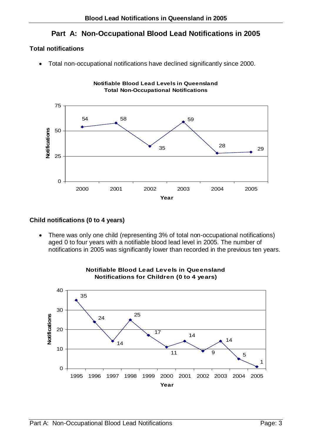### **Part A: Non-Occupational Blood Lead Notifications in 2005**

#### **Total notifications**

• Total non-occupational notifications have declined significantly since 2000.



#### **Child notifications (0 to 4 years)**

• There was only one child (representing 3% of total non-occupational notifications) aged 0 to four years with a notifiable blood lead level in 2005. The number of notifications in 2005 was significantly lower than recorded in the previous ten years.



## **Notifiable Blood Lead Levels in Queensland**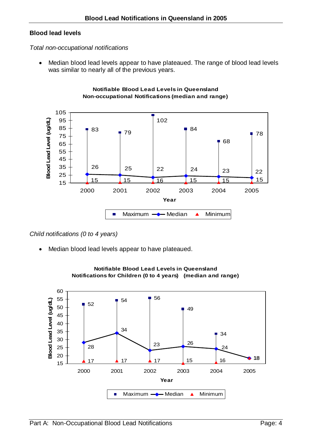#### **Blood lead levels**

#### *Total non-occupational notifications*

• Median blood lead levels appear to have plateaued. The range of blood lead levels was similar to nearly all of the previous years.





#### *Child notifications (0 to 4 years)*

Median blood lead levels appear to have plateaued.



#### **Notifiable Blood Lead Levels in Queensland Notifications for Children (0 to 4 years) (median and range)**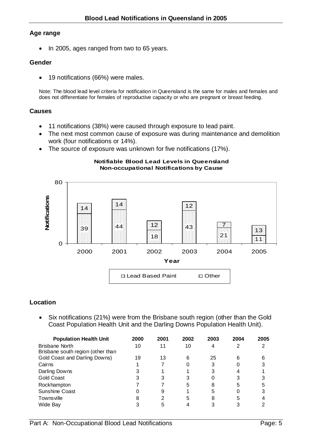#### **Age range**

• In 2005, ages ranged from two to 65 years.

#### **Gender**

• 19 notifications (66%) were males.

Note: The blood lead level criteria for notification in Queensland is the same for males and females and does not differentiate for females of reproductive capacity or who are pregnant or breast feeding.

#### **Causes**

- 11 notifications (38%) were caused through exposure to lead paint.
- The next most common cause of exposure was during maintenance and demolition work (four notifications or 14%).
- The source of exposure was unknown for five notifications (17%).

#### **Notifiable Blood Lead Levels in Queensland Non-occupational Notifications by Cause**



#### **Location**

• Six notifications (21%) were from the Brisbane south region (other than the Gold Coast Population Health Unit and the Darling Downs Population Health Unit).

| <b>Population Health Unit</b>     | 2000 | 2001 | 2002 | 2003 | 2004 | 2005 |
|-----------------------------------|------|------|------|------|------|------|
| <b>Brisbane North</b>             | 10   | 11   | 10   |      |      |      |
| Brisbane south region (other than |      |      |      |      |      |      |
| Gold Coast and Darling Downs)     | 19   | 13   | 6    | 25   | 6    |      |
| Cairns                            |      |      | 0    | 3    |      |      |
| Darling Downs                     |      |      |      | 3    |      |      |
| Gold Coast                        |      |      |      |      |      |      |
| Rockhampton                       |      |      | 5    | 8    | 5    |      |
| Sunshine Coast                    |      | 9    |      | 5    |      | 3    |
| Townsville                        |      |      | 5    | 8    | 5    |      |
| Wide Bay                          |      |      |      |      |      |      |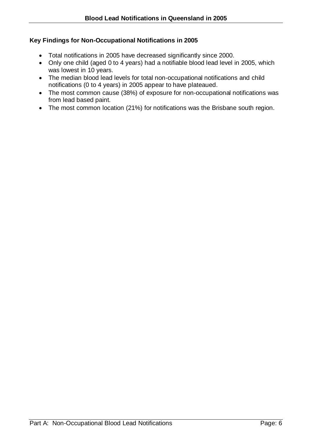#### **Key Findings for Non-Occupational Notifications in 2005**

- Total notifications in 2005 have decreased significantly since 2000.
- Only one child (aged 0 to 4 years) had a notifiable blood lead level in 2005, which was lowest in 10 years.
- The median blood lead levels for total non-occupational notifications and child notifications (0 to 4 years) in 2005 appear to have plateaued.
- The most common cause (38%) of exposure for non-occupational notifications was from lead based paint.
- The most common location (21%) for notifications was the Brisbane south region.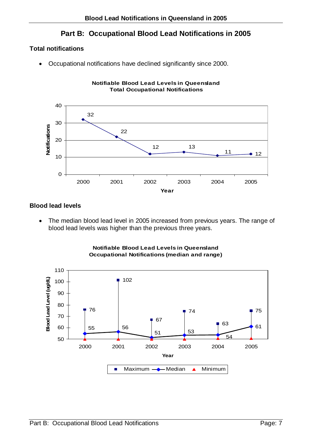### **Part B: Occupational Blood Lead Notifications in 2005**

**Notifiable Blood Lead Levels in Queensland**

#### **Total notifications**

• Occupational notifications have declined significantly since 2000.



#### **Blood lead levels**

• The median blood lead level in 2005 increased from previous years. The range of blood lead levels was higher than the previous three years.



**Notifiable Blood Lead Levels in Queensland Occupational Notifications (median and range)**